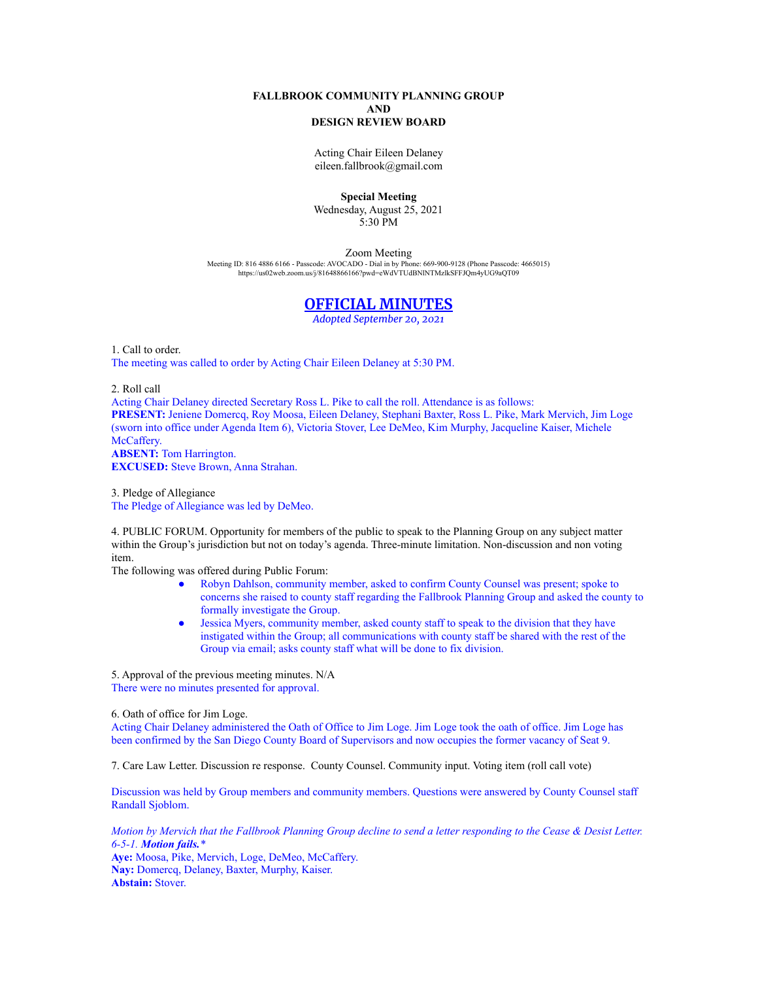## **FALLBROOK COMMUNITY PLANNING GROUP AND DESIGN REVIEW BOARD**

Acting Chair Eileen Delaney eileen.fallbrook@gmail.com

## **Special Meeting**

Wednesday, August 25, 2021 5:30 PM

Zoom Meeting

Meeting ID: 816 4886 6166 - Passcode: AVOCADO - Dial in by Phone: 669-900-9128 (Phone Passcode: 4665015) <https://us02web.zoom.us/j/81648866166?pwd=eWdVTUdBNlNTMzlkSFFJQm4yUG9aQT09>

## **OFFICIAL MINUTES**

*Adopted September 20, 2021*

1. Call to order. The meeting was called to order by Acting Chair Eileen Delaney at 5:30 PM.

2. Roll call

Acting Chair Delaney directed Secretary Ross L. Pike to call the roll. Attendance is as follows: **PRESENT:** Jeniene Domercq, Roy Moosa, Eileen Delaney, Stephani Baxter, Ross L. Pike, Mark Mervich, Jim Loge (sworn into office under Agenda Item 6), Victoria Stover, Lee DeMeo, Kim Murphy, Jacqueline Kaiser, Michele McCaffery. **ABSENT:** Tom Harrington. **EXCUSED:** Steve Brown, Anna Strahan.

3. Pledge of Allegiance The Pledge of Allegiance was led by DeMeo.

4. PUBLIC FORUM. Opportunity for members of the public to speak to the Planning Group on any subject matter within the Group's jurisdiction but not on today's agenda. Three-minute limitation. Non-discussion and non voting item.

The following was offered during Public Forum:

- Robyn Dahlson, community member, asked to confirm County Counsel was present; spoke to concerns she raised to county staff regarding the Fallbrook Planning Group and asked the county to formally investigate the Group.
- Jessica Myers, community member, asked county staff to speak to the division that they have instigated within the Group; all communications with county staff be shared with the rest of the Group via email; asks county staff what will be done to fix division.

5. Approval of the previous meeting minutes. N/A There were no minutes presented for approval.

6. Oath of office for Jim Loge.

Acting Chair Delaney administered the Oath of Office to Jim Loge. Jim Loge took the oath of office. Jim Loge has been confirmed by the San Diego County Board of Supervisors and now occupies the former vacancy of Seat 9.

7. Care Law Letter. Discussion re response. County Counsel. Community input. Voting item (roll call vote)

Discussion was held by Group members and community members. Questions were answered by County Counsel staff Randall Sjoblom.

*Motion by Mervich that the Fallbrook Planning Group decline to send a letter responding to the Cease & Desist Letter. 6-5-1. Motion fails.\** **Aye:** Moosa, Pike, Mervich, Loge, DeMeo, McCaffery. **Nay:** Domercq, Delaney, Baxter, Murphy, Kaiser. **Abstain:** Stover.